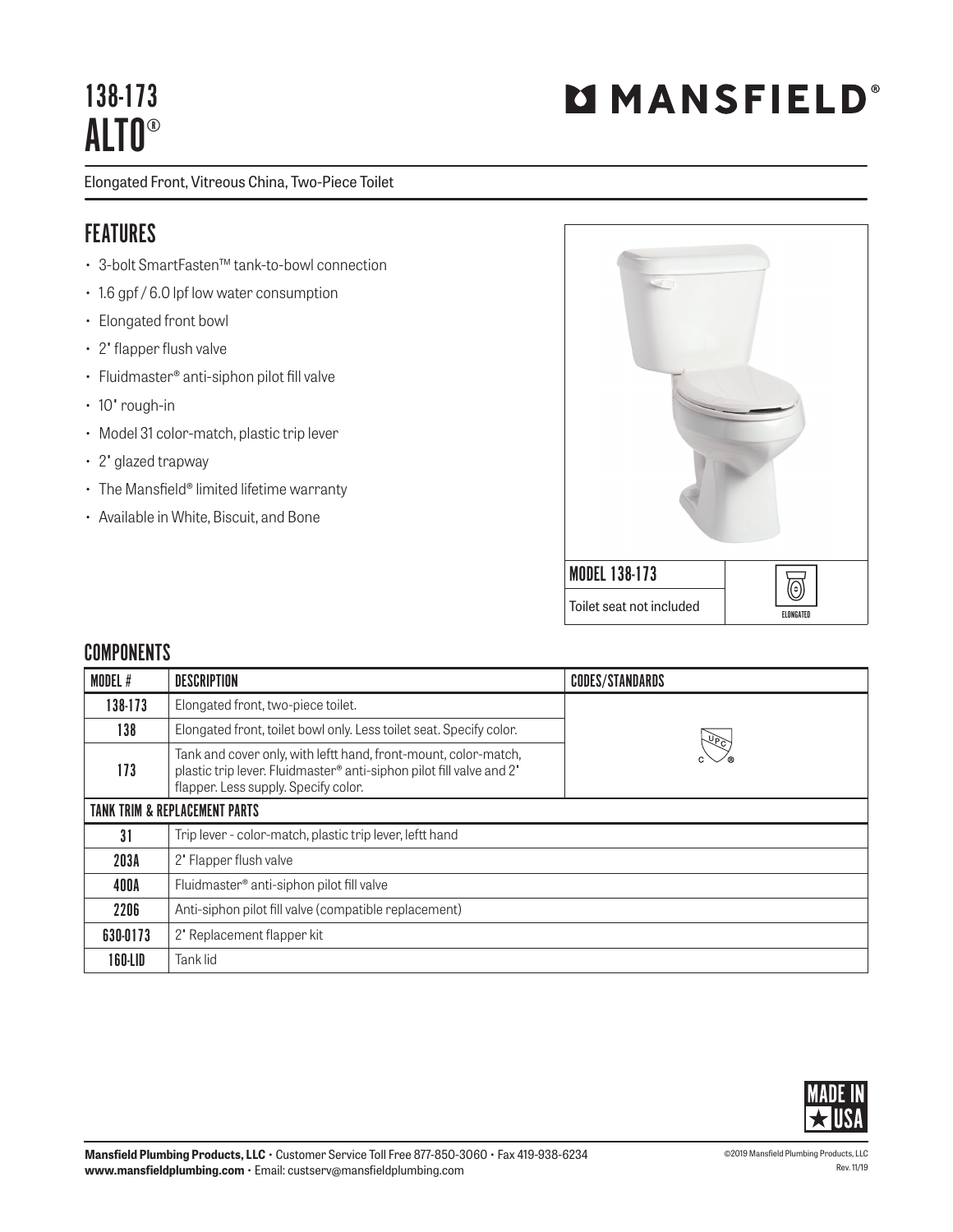## 138-173 ALTO®

Elongated Front, Vitreous China, Two-Piece Toilet

## FEATURES

- 3-bolt SmartFasten™ tank-to-bowl connection
- 1.6 gpf / 6.0 lpf low water consumption
- Elongated front bowl
- 2" flapper flush valve
- Fluidmaster® anti-siphon pilot fill valve
- 10" rough-in
- Model 31 color-match, plastic trip lever
- 2" glazed trapway
- The Mansfield® limited lifetime warranty
- Available in White, Biscuit, and Bone



## **COMPONENTS**

| <b>MODEL#</b>                            | DESCRIPTION                                                                                                                                                                     | <b>CODES/STANDARDS</b> |  |
|------------------------------------------|---------------------------------------------------------------------------------------------------------------------------------------------------------------------------------|------------------------|--|
| 138-173                                  | Elongated front, two-piece toilet.                                                                                                                                              |                        |  |
| 138                                      | Elongated front, toilet bowl only. Less toilet seat. Specify color.                                                                                                             |                        |  |
| 173                                      | Tank and cover only, with leftt hand, front-mount, color-match,<br>plastic trip lever. Fluidmaster® anti-siphon pilot fill valve and 2'<br>flapper. Less supply. Specify color. |                        |  |
| <b>TANK TRIM &amp; REPLACEMENT PARTS</b> |                                                                                                                                                                                 |                        |  |
| 31                                       | Trip lever - color-match, plastic trip lever, leftt hand                                                                                                                        |                        |  |
| 203A                                     | 2' Flapper flush valve                                                                                                                                                          |                        |  |
| 400A                                     | Fluidmaster <sup>®</sup> anti-siphon pilot fill valve                                                                                                                           |                        |  |
| 2206                                     | Anti-siphon pilot fill valve (compatible replacement)                                                                                                                           |                        |  |
| 630-0173                                 | 2' Replacement flapper kit                                                                                                                                                      |                        |  |
| 160-LID                                  | Tank lid                                                                                                                                                                        |                        |  |